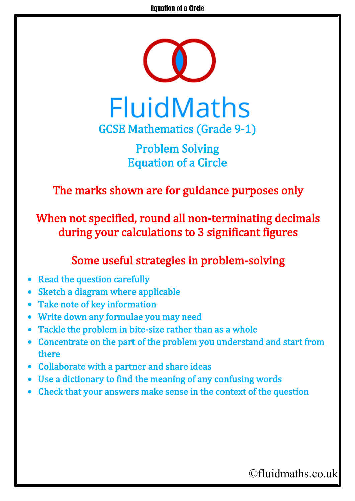

Problem Solving Equation of a Circle

The marks shown are for guidance purposes only

When not specified, round all non-terminating decimals during your calculations to 3 significant figures

## Some useful strategies in problem-solving

- **Read the question carefully**
- Sketch a diagram where applicable
- Take note of key information
- Write down any formulae you may need
- Tackle the problem in bite-size rather than as a whole
- Concentrate on the part of the problem you understand and start from there
- Collaborate with a partner and share ideas
- Use a dictionary to find the meaning of any confusing words
- Check that your answers make sense in the context of the question

## ©fluidmaths.co.uk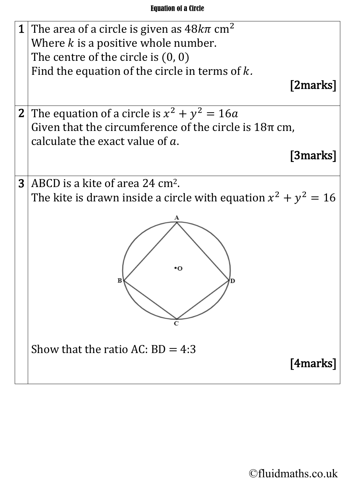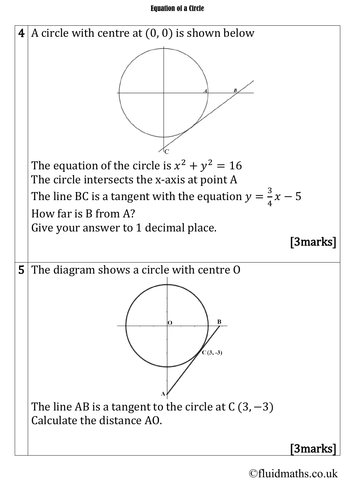## Equation of a Circle



©fluidmaths.co.uk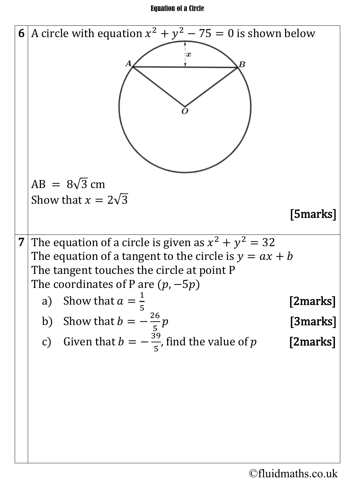## Equation of a Circle